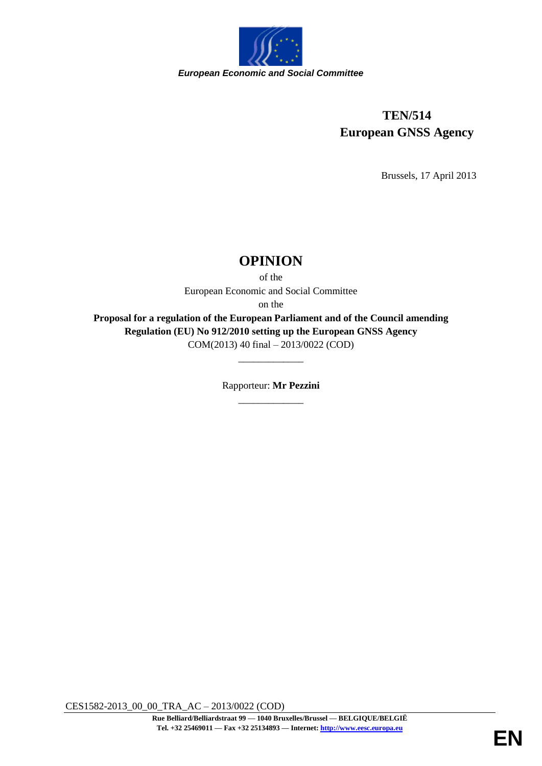

# **TEN/514 European GNSS Agency**

Brussels, 17 April 2013

# **OPINION**

of the

European Economic and Social Committee

on the

**Proposal for a regulation of the European Parliament and of the Council amending Regulation (EU) No 912/2010 setting up the European GNSS Agency** COM(2013) 40 final – 2013/0022 (COD)

> Rapporteur: **Mr Pezzini** \_\_\_\_\_\_\_\_\_\_\_\_\_

\_\_\_\_\_\_\_\_\_\_\_\_\_

CES1582-2013\_00\_00\_TRA\_AC – 2013/0022 (COD)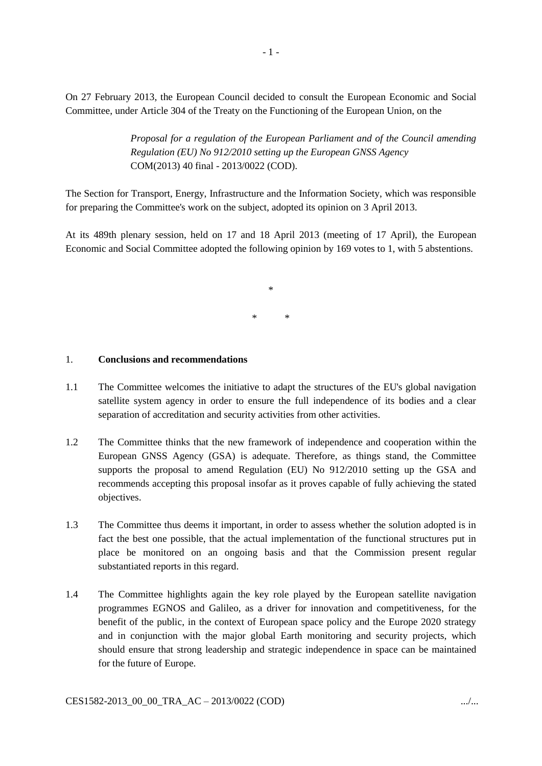On 27 February 2013, the European Council decided to consult the European Economic and Social Committee, under Article 304 of the Treaty on the Functioning of the European Union, on the

> *Proposal for a regulation of the European Parliament and of the Council amending Regulation (EU) No 912/2010 setting up the European GNSS Agency* COM(2013) 40 final - 2013/0022 (COD).

The Section for Transport, Energy, Infrastructure and the Information Society, which was responsible for preparing the Committee's work on the subject, adopted its opinion on 3 April 2013.

At its 489th plenary session, held on 17 and 18 April 2013 (meeting of 17 April), the European Economic and Social Committee adopted the following opinion by 169 votes to 1, with 5 abstentions.

> \* \* \*

#### 1. **Conclusions and recommendations**

- 1.1 The Committee welcomes the initiative to adapt the structures of the EU's global navigation satellite system agency in order to ensure the full independence of its bodies and a clear separation of accreditation and security activities from other activities.
- 1.2 The Committee thinks that the new framework of independence and cooperation within the European GNSS Agency (GSA) is adequate. Therefore, as things stand, the Committee supports the proposal to amend Regulation (EU) No 912/2010 setting up the GSA and recommends accepting this proposal insofar as it proves capable of fully achieving the stated objectives.
- 1.3 The Committee thus deems it important, in order to assess whether the solution adopted is in fact the best one possible, that the actual implementation of the functional structures put in place be monitored on an ongoing basis and that the Commission present regular substantiated reports in this regard.
- 1.4 The Committee highlights again the key role played by the European satellite navigation programmes EGNOS and Galileo, as a driver for innovation and competitiveness, for the benefit of the public, in the context of European space policy and the Europe 2020 strategy and in conjunction with the major global Earth monitoring and security projects, which should ensure that strong leadership and strategic independence in space can be maintained for the future of Europe.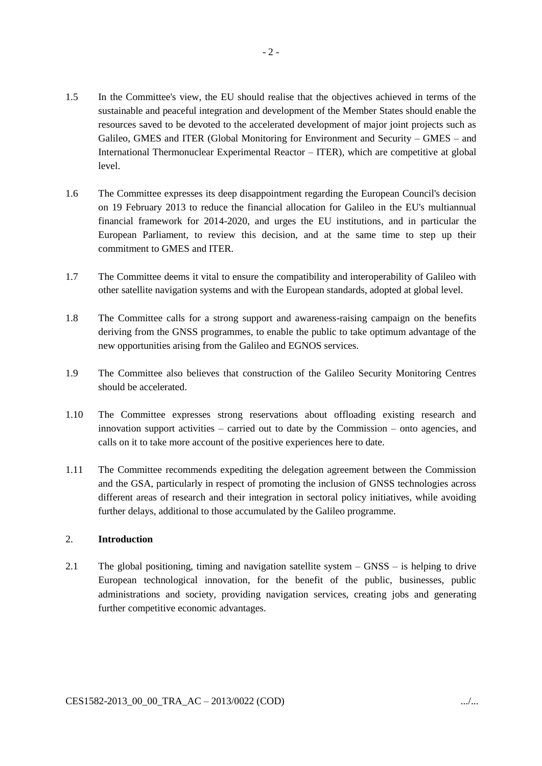- 1.5 In the Committee's view, the EU should realise that the objectives achieved in terms of the sustainable and peaceful integration and development of the Member States should enable the resources saved to be devoted to the accelerated development of major joint projects such as Galileo, GMES and ITER (Global Monitoring for Environment and Security – GMES – and International Thermonuclear Experimental Reactor – ITER), which are competitive at global level.
- 1.6 The Committee expresses its deep disappointment regarding the European Council's decision on 19 February 2013 to reduce the financial allocation for Galileo in the EU's multiannual financial framework for 2014-2020, and urges the EU institutions, and in particular the European Parliament, to review this decision, and at the same time to step up their commitment to GMES and ITER.
- 1.7 The Committee deems it vital to ensure the compatibility and interoperability of Galileo with other satellite navigation systems and with the European standards, adopted at global level.
- 1.8 The Committee calls for a strong support and awareness-raising campaign on the benefits deriving from the GNSS programmes, to enable the public to take optimum advantage of the new opportunities arising from the Galileo and EGNOS services.
- 1.9 The Committee also believes that construction of the Galileo Security Monitoring Centres should be accelerated.
- 1.10 The Committee expresses strong reservations about offloading existing research and innovation support activities – carried out to date by the Commission – onto agencies, and calls on it to take more account of the positive experiences here to date.
- 1.11 The Committee recommends expediting the delegation agreement between the Commission and the GSA, particularly in respect of promoting the inclusion of GNSS technologies across different areas of research and their integration in sectoral policy initiatives, while avoiding further delays, additional to those accumulated by the Galileo programme.

## 2. **Introduction**

2.1 The global positioning, timing and navigation satellite system – GNSS – is helping to drive European technological innovation, for the benefit of the public, businesses, public administrations and society, providing navigation services, creating jobs and generating further competitive economic advantages.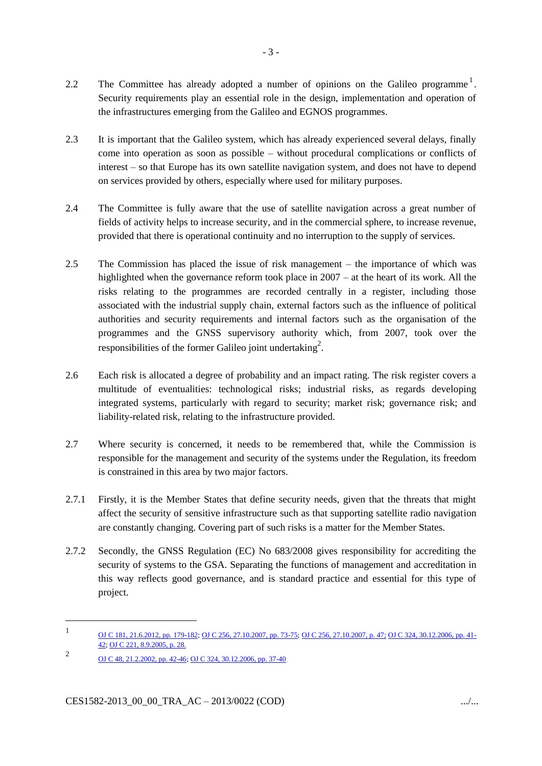- 2.2 The Committee has already adopted a number of opinions on the Galileo programme<sup>1</sup>. Security requirements play an essential role in the design, implementation and operation of the infrastructures emerging from the Galileo and EGNOS programmes.
- 2.3 It is important that the Galileo system, which has already experienced several delays, finally come into operation as soon as possible – without procedural complications or conflicts of interest – so that Europe has its own satellite navigation system, and does not have to depend on services provided by others, especially where used for military purposes.
- 2.4 The Committee is fully aware that the use of satellite navigation across a great number of fields of activity helps to increase security, and in the commercial sphere, to increase revenue, provided that there is operational continuity and no interruption to the supply of services.
- 2.5 The Commission has placed the issue of risk management the importance of which was highlighted when the governance reform took place in 2007 – at the heart of its work. All the risks relating to the programmes are recorded centrally in a register, including those associated with the industrial supply chain, external factors such as the influence of political authorities and security requirements and internal factors such as the organisation of the programmes and the GNSS supervisory authority which, from 2007, took over the responsibilities of the former Galileo joint undertaking<sup>2</sup>.
- 2.6 Each risk is allocated a degree of probability and an impact rating. The risk register covers a multitude of eventualities: technological risks; industrial risks, as regards developing integrated systems, particularly with regard to security; market risk; governance risk; and liability-related risk, relating to the infrastructure provided.
- 2.7 Where security is concerned, it needs to be remembered that, while the Commission is responsible for the management and security of the systems under the Regulation, its freedom is constrained in this area by two major factors.
- 2.7.1 Firstly, it is the Member States that define security needs, given that the threats that might affect the security of sensitive infrastructure such as that supporting satellite radio navigation are constantly changing. Covering part of such risks is a matter for the Member States.
- 2.7.2 Secondly, the GNSS Regulation (EC) No 683/2008 gives responsibility for accrediting the security of systems to the GSA. Separating the functions of management and accreditation in this way reflects good governance, and is standard practice and essential for this type of project.

-

<sup>1</sup> [OJ C 181, 21.6.2012, pp. 179-182;](http://eur-lex.europa.eu/LexUriServ/LexUriServ.do?uri=OJ:C:2012:181:SOM:EN:HTML) [OJ C 256, 27.10.2007, pp. 73-75; OJ C 256, 27.10.2007, p. 47;](http://eur-lex.europa.eu/LexUriServ/LexUriServ.do?uri=OJ:C:2007:256:SOM:EN:HTML) OJ C [324, 30.12.2006, pp. 41-](http://eur-lex.europa.eu/LexUriServ/LexUriServ.do?uri=OJ:C:2006:324:SOM:EN:HTML) [42;](http://eur-lex.europa.eu/LexUriServ/LexUriServ.do?uri=OJ:C:2006:324:SOM:EN:HTML) [OJ C 221, 8.9.2005, p. 28.](http://eur-lex.europa.eu/LexUriServ/LexUriServ.do?uri=OJ:C:2005:221:SOM:EN:HTML)  $\overline{2}$ 

[OJ C 48, 21.2.2002, pp. 42-46;](http://eur-lex.europa.eu/LexUriServ/LexUriServ.do?uri=OJ:C:2002:048:SOM:EN:HTML) [OJ C 324, 30.12.2006, pp. 37-40](http://eur-lex.europa.eu/LexUriServ/LexUriServ.do?uri=OJ:C:2006:324:SOM:EN:HTML).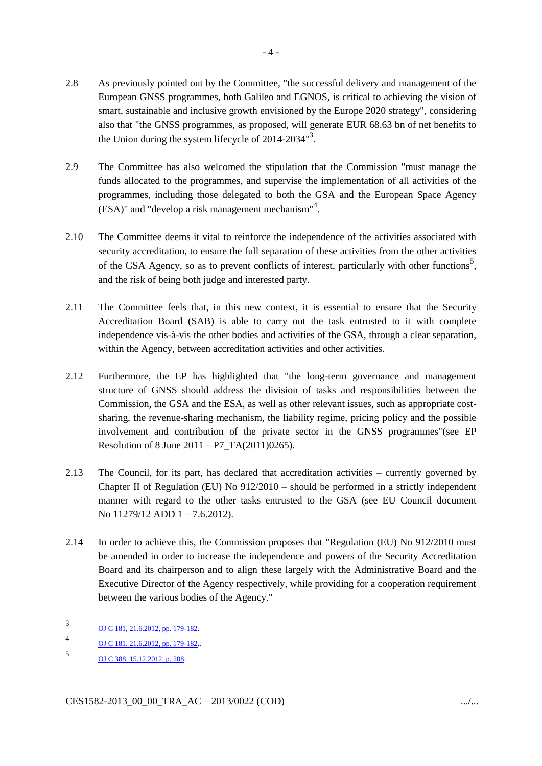- 2.8 As previously pointed out by the Committee, "the successful delivery and management of the European GNSS programmes, both Galileo and EGNOS, is critical to achieving the vision of smart, sustainable and inclusive growth envisioned by the Europe 2020 strategy", considering also that "the GNSS programmes, as proposed, will generate EUR 68.63 bn of net benefits to the Union during the system lifecycle of  $2014-2034$ <sup>3</sup>.
- 2.9 The Committee has also welcomed the stipulation that the Commission "must manage the funds allocated to the programmes, and supervise the implementation of all activities of the programmes, including those delegated to both the GSA and the European Space Agency (ESA)" and "develop a risk management mechanism"<sup>4</sup> .
- 2.10 The Committee deems it vital to reinforce the independence of the activities associated with security accreditation, to ensure the full separation of these activities from the other activities of the GSA Agency, so as to prevent conflicts of interest, particularly with other functions<sup>5</sup>, and the risk of being both judge and interested party.
- 2.11 The Committee feels that, in this new context, it is essential to ensure that the Security Accreditation Board (SAB) is able to carry out the task entrusted to it with complete independence vis-à-vis the other bodies and activities of the GSA, through a clear separation, within the Agency, between accreditation activities and other activities.
- 2.12 Furthermore, the EP has highlighted that "the long-term governance and management structure of GNSS should address the division of tasks and responsibilities between the Commission, the GSA and the ESA, as well as other relevant issues, such as appropriate costsharing, the revenue-sharing mechanism, the liability regime, pricing policy and the possible involvement and contribution of the private sector in the GNSS programmes"(see EP Resolution of 8 June 2011 – P7\_TA(2011)0265).
- 2.13 The Council, for its part, has declared that accreditation activities currently governed by Chapter II of Regulation (EU) No  $912/2010$  – should be performed in a strictly independent manner with regard to the other tasks entrusted to the GSA (see EU Council document No 11279/12 ADD 1 – 7.6.2012).
- 2.14 In order to achieve this, the Commission proposes that "Regulation (EU) No 912/2010 must be amended in order to increase the independence and powers of the Security Accreditation Board and its chairperson and to align these largely with the Administrative Board and the Executive Director of the Agency respectively, while providing for a cooperation requirement between the various bodies of the Agency."

1

<sup>3</sup> [OJ C 181, 21.6.2012, pp. 179-182.](http://eur-lex.europa.eu/LexUriServ/LexUriServ.do?uri=OJ:C:2012:181:SOM:EN:HTML)

<sup>4</sup> [OJ C 181, 21.6.2012, pp. 179-182.](http://eur-lex.europa.eu/LexUriServ/LexUriServ.do?uri=OJ:C:2012:181:SOM:EN:HTML).

<sup>5</sup> OJ C 388, [15.12.2012, p.](http://eur-lex.europa.eu/LexUriServ/LexUriServ.do?uri=OJ:C:2012:388:SOM:EN:HTML) 208.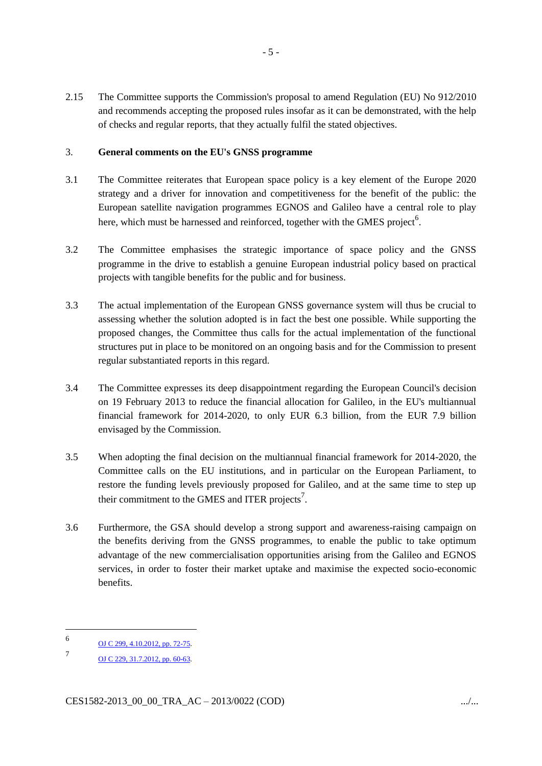2.15 The Committee supports the Commission's proposal to amend Regulation (EU) No 912/2010 and recommends accepting the proposed rules insofar as it can be demonstrated, with the help of checks and regular reports, that they actually fulfil the stated objectives.

## 3. **General comments on the EU's GNSS programme**

- 3.1 The Committee reiterates that European space policy is a key element of the Europe 2020 strategy and a driver for innovation and competitiveness for the benefit of the public: the European satellite navigation programmes EGNOS and Galileo have a central role to play here, which must be harnessed and reinforced, together with the GMES project<sup>6</sup>.
- 3.2 The Committee emphasises the strategic importance of space policy and the GNSS programme in the drive to establish a genuine European industrial policy based on practical projects with tangible benefits for the public and for business.
- 3.3 The actual implementation of the European GNSS governance system will thus be crucial to assessing whether the solution adopted is in fact the best one possible. While supporting the proposed changes, the Committee thus calls for the actual implementation of the functional structures put in place to be monitored on an ongoing basis and for the Commission to present regular substantiated reports in this regard.
- 3.4 The Committee expresses its deep disappointment regarding the European Council's decision on 19 February 2013 to reduce the financial allocation for Galileo, in the EU's multiannual financial framework for 2014-2020, to only EUR 6.3 billion, from the EUR 7.9 billion envisaged by the Commission.
- 3.5 When adopting the final decision on the multiannual financial framework for 2014-2020, the Committee calls on the EU institutions, and in particular on the European Parliament, to restore the funding levels previously proposed for Galileo, and at the same time to step up their commitment to the GMES and ITER projects<sup>7</sup>.
- 3.6 Furthermore, the GSA should develop a strong support and awareness-raising campaign on the benefits deriving from the GNSS programmes, to enable the public to take optimum advantage of the new commercialisation opportunities arising from the Galileo and EGNOS services, in order to foster their market uptake and maximise the expected socio-economic benefits.

1

<sup>6</sup> [OJ C 299, 4.10.2012, pp. 72-75.](http://eur-lex.europa.eu/LexUriServ/LexUriServ.do?uri=OJ:C:2012:299:SOM:EN:HTML)

<sup>7</sup> [OJ C 229, 31.7.2012, pp. 60-63.](http://eur-lex.europa.eu/LexUriServ/LexUriServ.do?uri=OJ:C:2012:229:SOM:EN:HTML)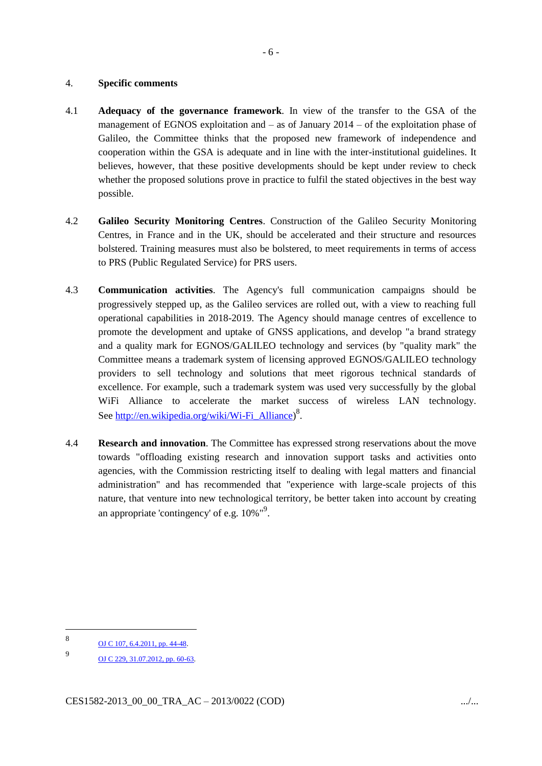#### 4. **Specific comments**

- 4.1 **Adequacy of the governance framework**. In view of the transfer to the GSA of the management of EGNOS exploitation and – as of January 2014 – of the exploitation phase of Galileo, the Committee thinks that the proposed new framework of independence and cooperation within the GSA is adequate and in line with the inter-institutional guidelines. It believes, however, that these positive developments should be kept under review to check whether the proposed solutions prove in practice to fulfil the stated objectives in the best way possible.
- 4.2 **Galileo Security Monitoring Centres**. Construction of the Galileo Security Monitoring Centres, in France and in the UK, should be accelerated and their structure and resources bolstered. Training measures must also be bolstered, to meet requirements in terms of access to PRS (Public Regulated Service) for PRS users.
- 4.3 **Communication activities**. The Agency's full communication campaigns should be progressively stepped up, as the Galileo services are rolled out, with a view to reaching full operational capabilities in 2018-2019. The Agency should manage centres of excellence to promote the development and uptake of GNSS applications, and develop "a brand strategy and a quality mark for EGNOS/GALILEO technology and services (by "quality mark" the Committee means a trademark system of licensing approved EGNOS/GALILEO technology providers to sell technology and solutions that meet rigorous technical standards of excellence. For example, such a trademark system was used very successfully by the global WiFi Alliance to accelerate the market success of wireless LAN technology. See [http://en.wikipedia.org/wiki/Wi-Fi\\_Alliance\)](http://en.wikipedia.org/wiki/Wi-Fi_Alliance)<sup>8</sup>.
- 4.4 **Research and innovation**. The Committee has expressed strong reservations about the move towards "offloading existing research and innovation support tasks and activities onto agencies, with the Commission restricting itself to dealing with legal matters and financial administration" and has recommended that "experience with large-scale projects of this nature, that venture into new technological territory, be better taken into account by creating an appropriate 'contingency' of e.g. 10%"<sup>9</sup>.

1

<sup>8</sup> [OJ C 107, 6.4.2011, pp. 44-48.](http://eur-lex.europa.eu/LexUriServ/LexUriServ.do?uri=OJ:C:2011:107:SOM:EN:HTML)

<sup>9</sup> [OJ C 229, 31.07.2012, pp. 60-63.](http://eur-lex.europa.eu/LexUriServ/LexUriServ.do?uri=OJ:C:2012:229:SOM:EN:HTML)